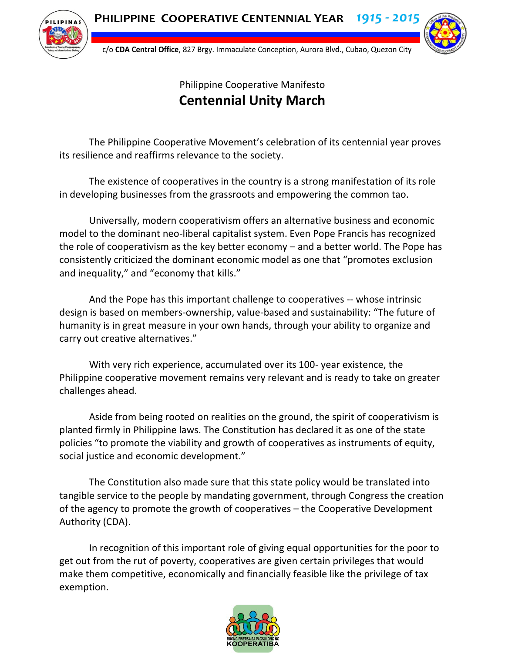

c/o CDA Central Office, 827 Brgy. Immaculate Conception, Aurora Blvd., Cubao, Quezon City



## Philippine Cooperative Manifesto **Centennial Unity March**

The Philippine Cooperative Movement's celebration of its centennial year proves its resilience and reaffirms relevance to the society.

The existence of cooperatives in the country is a strong manifestation of its role in developing businesses from the grassroots and empowering the common tao.

Universally, modern cooperativism offers an alternative business and economic model to the dominant neo-liberal capitalist system. Even Pope Francis has recognized the role of cooperativism as the key better economy – and a better world. The Pope has consistently criticized the dominant economic model as one that "promotes exclusion and inequality," and "economy that kills."

And the Pope has this important challenge to cooperatives -- whose intrinsic design is based on members-ownership, value-based and sustainability: "The future of humanity is in great measure in your own hands, through your ability to organize and carry out creative alternatives."

With very rich experience, accumulated over its 100- year existence, the Philippine cooperative movement remains very relevant and is ready to take on greater challenges ahead.

Aside from being rooted on realities on the ground, the spirit of cooperativism is planted firmly in Philippine laws. The Constitution has declared it as one of the state policies "to promote the viability and growth of cooperatives as instruments of equity, social justice and economic development."

The Constitution also made sure that this state policy would be translated into tangible service to the people by mandating government, through Congress the creation of the agency to promote the growth of cooperatives – the Cooperative Development Authority (CDA).

In recognition of this important role of giving equal opportunities for the poor to get out from the rut of poverty, cooperatives are given certain privileges that would make them competitive, economically and financially feasible like the privilege of tax exemption.